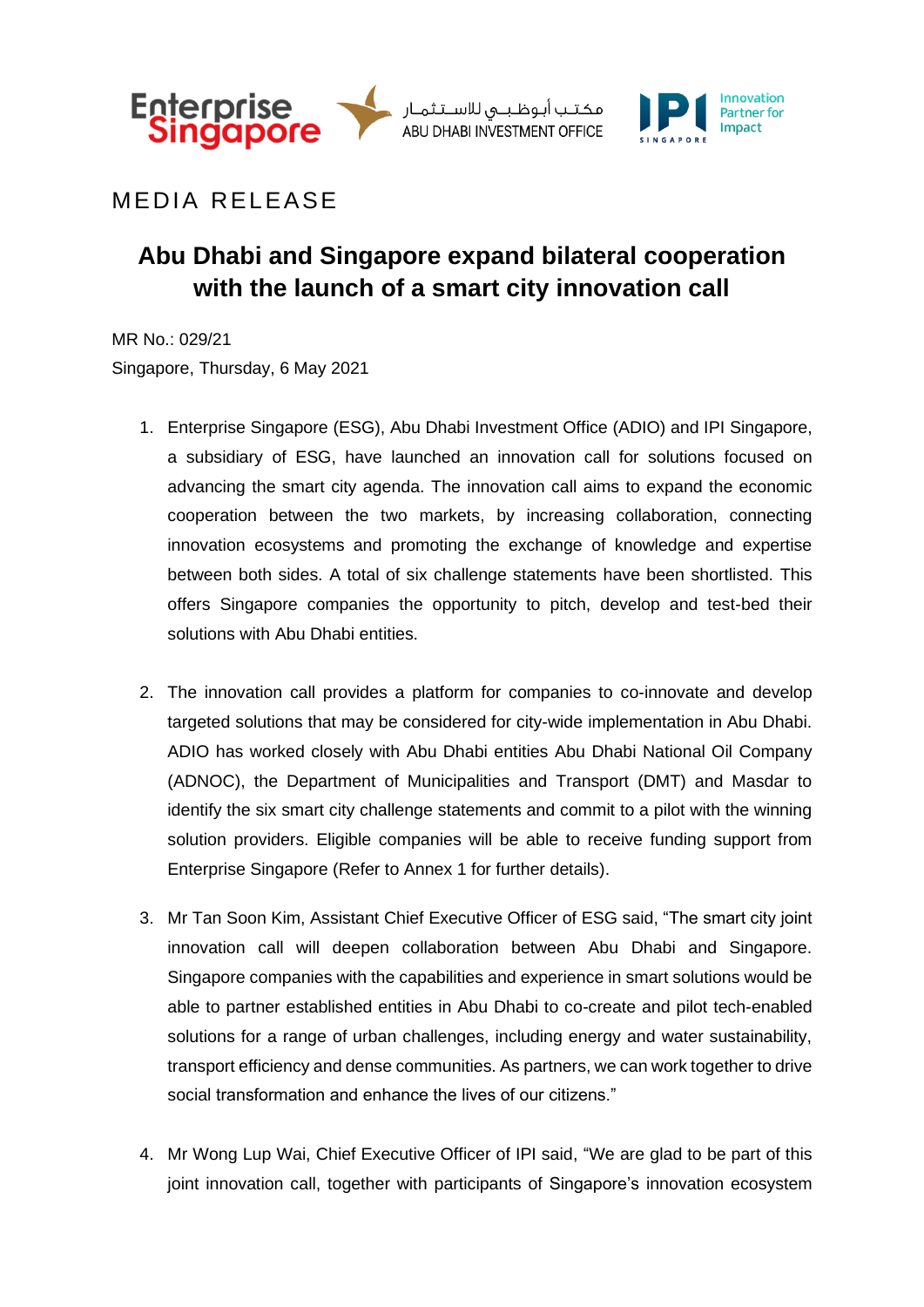

مكتب أبوظبى للاسـتثمـار ABU DHABI INVESTMENT OFFICE



## **MEDIA RELEASE**

# **Abu Dhabi and Singapore expand bilateral cooperation with the launch of a smart city innovation call**

MR No.: 029/21 Singapore, Thursday, 6 May 2021

- 1. Enterprise Singapore (ESG), Abu Dhabi Investment Office (ADIO) and IPI Singapore, a subsidiary of ESG, have launched an innovation call for solutions focused on advancing the smart city agenda. The innovation call aims to expand the economic cooperation between the two markets, by increasing collaboration, connecting innovation ecosystems and promoting the exchange of knowledge and expertise between both sides. A total of six challenge statements have been shortlisted. This offers Singapore companies the opportunity to pitch, develop and test-bed their solutions with Abu Dhabi entities.
- 2. The innovation call provides a platform for companies to co-innovate and develop targeted solutions that may be considered for city-wide implementation in Abu Dhabi. ADIO has worked closely with Abu Dhabi entities Abu Dhabi National Oil Company (ADNOC), the Department of Municipalities and Transport (DMT) and Masdar to identify the six smart city challenge statements and commit to a pilot with the winning solution providers. Eligible companies will be able to receive funding support from Enterprise Singapore (Refer to Annex 1 for further details).
- 3. Mr Tan Soon Kim, Assistant Chief Executive Officer of ESG said, "The smart city joint innovation call will deepen collaboration between Abu Dhabi and Singapore. Singapore companies with the capabilities and experience in smart solutions would be able to partner established entities in Abu Dhabi to co-create and pilot tech-enabled solutions for a range of urban challenges, including energy and water sustainability, transport efficiency and dense communities. As partners, we can work together to drive social transformation and enhance the lives of our citizens."
- 4. Mr Wong Lup Wai, Chief Executive Officer of IPI said, "We are glad to be part of this joint innovation call, together with participants of Singapore's innovation ecosystem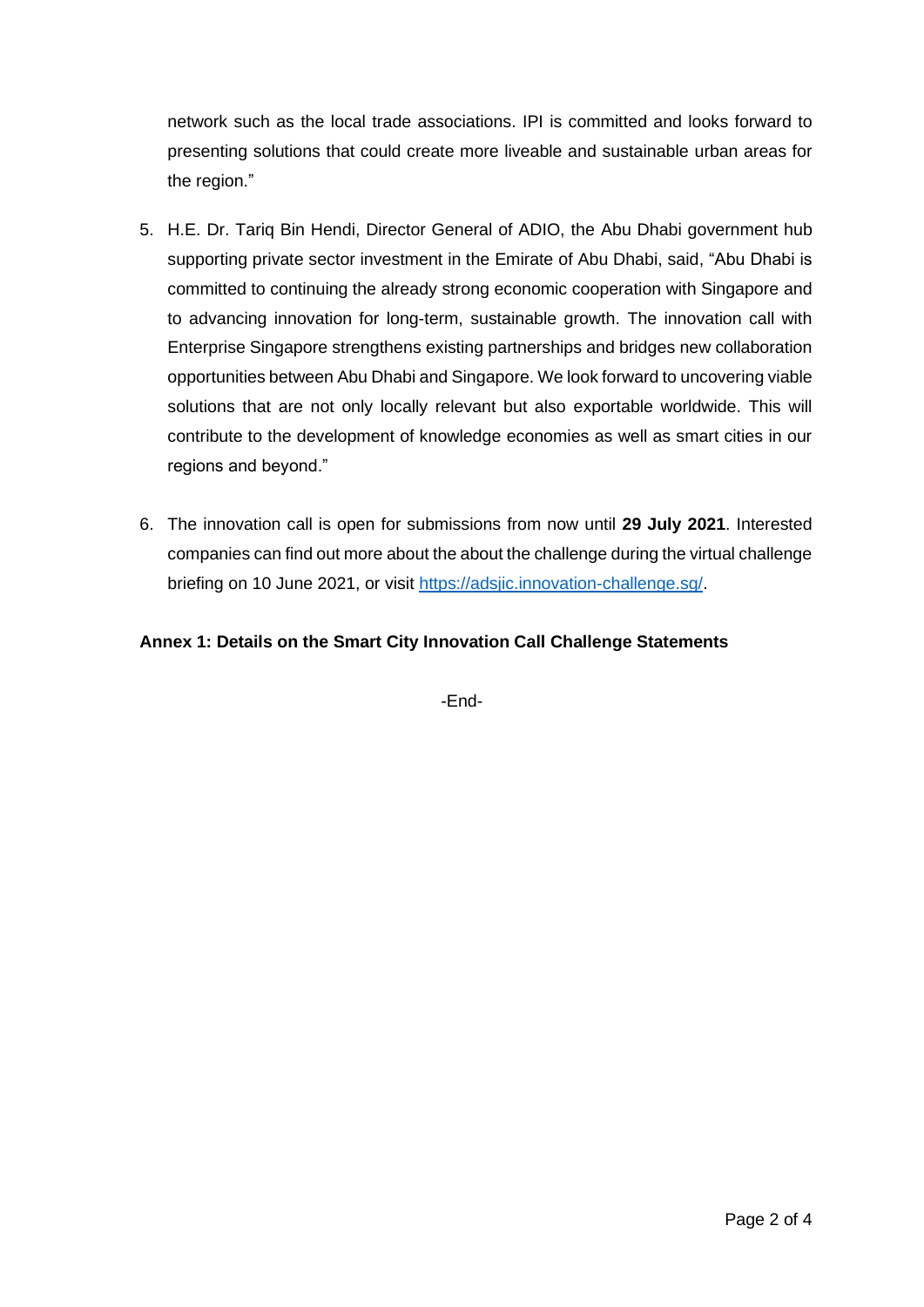network such as the local trade associations. IPI is committed and looks forward to presenting solutions that could create more liveable and sustainable urban areas for the region."

- 5. H.E. Dr. Tariq Bin Hendi, Director General of ADIO, the Abu Dhabi government hub supporting private sector investment in the Emirate of Abu Dhabi, said, "Abu Dhabi is committed to continuing the already strong economic cooperation with Singapore and to advancing innovation for long-term, sustainable growth. The innovation call with Enterprise Singapore strengthens existing partnerships and bridges new collaboration opportunities between Abu Dhabi and Singapore. We look forward to uncovering viable solutions that are not only locally relevant but also exportable worldwide. This will contribute to the development of knowledge economies as well as smart cities in our regions and beyond."
- 6. The innovation call is open for submissions from now until **29 July 2021**. Interested companies can find out more about the about the challenge during the virtual challenge briefing on 10 June 2021, or visit [https://adsjic.innovation-challenge.sg/.](https://adsjic.innovation-challenge.sg/)

### **Annex 1: Details on the Smart City Innovation Call Challenge Statements**

-End-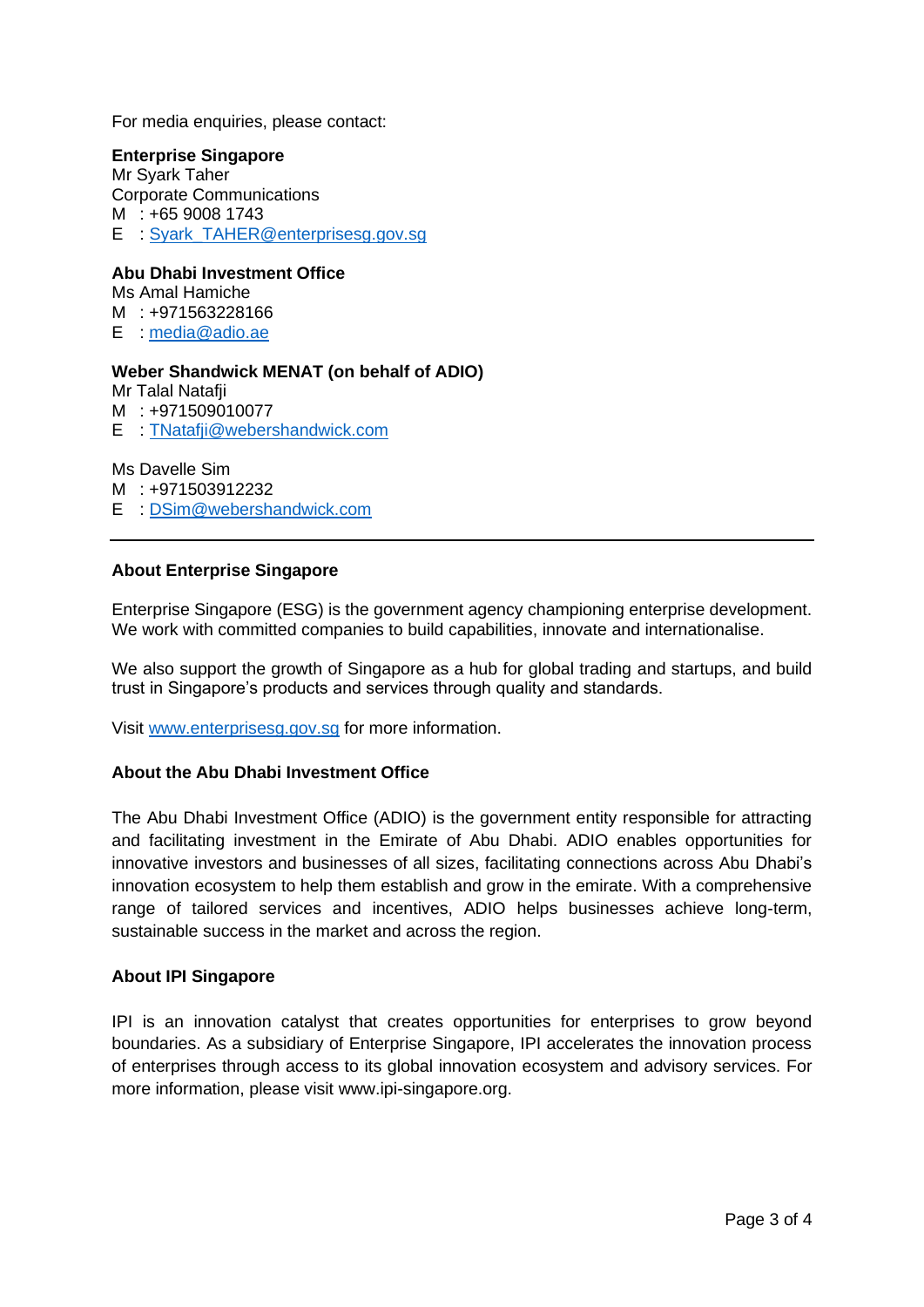For media enquiries, please contact:

#### **Enterprise Singapore**

Mr Syark Taher Corporate Communications M : +65 9008 1743 E : Svark\_TAHER@enterprisesg.gov.sg

#### **Abu Dhabi Investment Office**

Ms Amal Hamiche M : +971563228166 E : [media@adio.ae](mailto:media@adio.ae)

#### **Weber Shandwick MENAT (on behalf of ADIO)**

Mr Talal Natafji

M : +971509010077

E : [TNatafji@webershandwick.com](mailto:TNatafji@webershandwick.com)

Ms Davelle Sim

M : +971503912232

E : [DSim@webershandwick.com](mailto:DSim@webershandwick.com)

#### **About Enterprise Singapore**

Enterprise Singapore (ESG) is the government agency championing enterprise development. We work with committed companies to build capabilities, innovate and internationalise.

We also support the growth of Singapore as a hub for global trading and startups, and build trust in Singapore's products and services through quality and standards.

Visit [www.enterprisesg.gov.sg](http://www.enterprisesg.gov.sg/) for more information.

#### **About the Abu Dhabi Investment Office**

The Abu Dhabi Investment Office (ADIO) is the government entity responsible for attracting and facilitating investment in the Emirate of Abu Dhabi. ADIO enables opportunities for innovative investors and businesses of all sizes, facilitating connections across Abu Dhabi's innovation ecosystem to help them establish and grow in the emirate. With a comprehensive range of tailored services and incentives, ADIO helps businesses achieve long-term, sustainable success in the market and across the region.

#### **About IPI Singapore**

IPI is an innovation catalyst that creates opportunities for enterprises to grow beyond boundaries. As a subsidiary of Enterprise Singapore, IPI accelerates the innovation process of enterprises through access to its global innovation ecosystem and advisory services. For more information, please visit www.ipi-singapore.org.